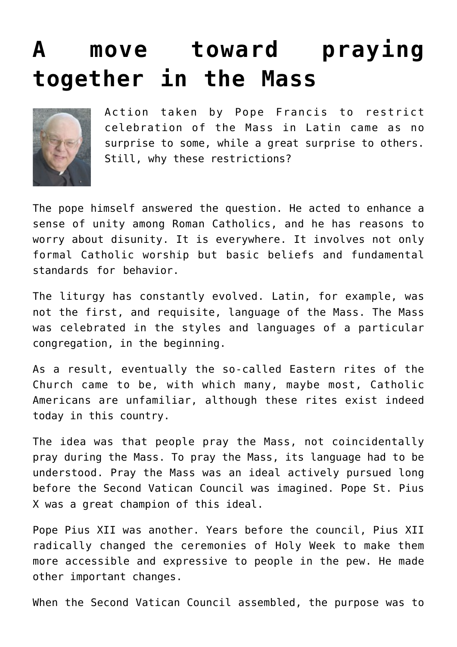## **[A move toward praying](https://www.osvnews.com/2021/07/19/a-move-toward-praying-together-in-the-mass/) [together in the Mass](https://www.osvnews.com/2021/07/19/a-move-toward-praying-together-in-the-mass/)**



Action taken by Pope Francis to restrict celebration of the Mass in Latin came as no surprise to some, while a great surprise to others. Still, why these restrictions?

The pope himself answered the question. He acted to enhance a sense of unity among Roman Catholics, and he has reasons to worry about disunity. It is everywhere. It involves not only formal Catholic worship but basic beliefs and fundamental standards for behavior.

The liturgy has constantly evolved. Latin, for example, was not the first, and requisite, language of the Mass. The Mass was celebrated in the styles and languages of a particular congregation, in the beginning.

As a result, eventually the so-called Eastern rites of the Church came to be, with which many, maybe most, Catholic Americans are unfamiliar, although these rites exist indeed today in this country.

The idea was that people pray the Mass, not coincidentally pray during the Mass. To pray the Mass, its language had to be understood. Pray the Mass was an ideal actively pursued long before the Second Vatican Council was imagined. Pope St. Pius X was a great champion of this ideal.

Pope Pius XII was another. Years before the council, Pius XII radically changed the ceremonies of Holy Week to make them more accessible and expressive to people in the pew. He made other important changes.

When the Second Vatican Council assembled, the purpose was to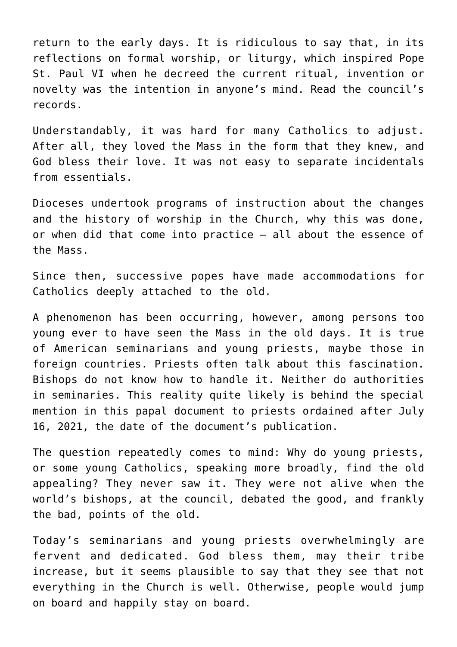return to the early days. It is ridiculous to say that, in its reflections on formal worship, or liturgy, which inspired Pope St. Paul VI when he decreed the current ritual, invention or novelty was the intention in anyone's mind. Read the council's records.

Understandably, it was hard for many Catholics to adjust. After all, they loved the Mass in the form that they knew, and God bless their love. It was not easy to separate incidentals from essentials.

Dioceses undertook programs of instruction about the changes and the history of worship in the Church, why this was done, or when did that come into practice — all about the essence of the Mass.

Since then, successive popes have made accommodations for Catholics deeply attached to the old.

A phenomenon has been occurring, however, among persons too young ever to have seen the Mass in the old days. It is true of American seminarians and young priests, maybe those in foreign countries. Priests often talk about this fascination. Bishops do not know how to handle it. Neither do authorities in seminaries. This reality quite likely is behind the special mention in this papal document to priests ordained after July 16, 2021, the date of the document's publication.

The question repeatedly comes to mind: Why do young priests, or some young Catholics, speaking more broadly, find the old appealing? They never saw it. They were not alive when the world's bishops, at the council, debated the good, and frankly the bad, points of the old.

Today's seminarians and young priests overwhelmingly are fervent and dedicated. God bless them, may their tribe increase, but it seems plausible to say that they see that not everything in the Church is well. Otherwise, people would jump on board and happily stay on board.